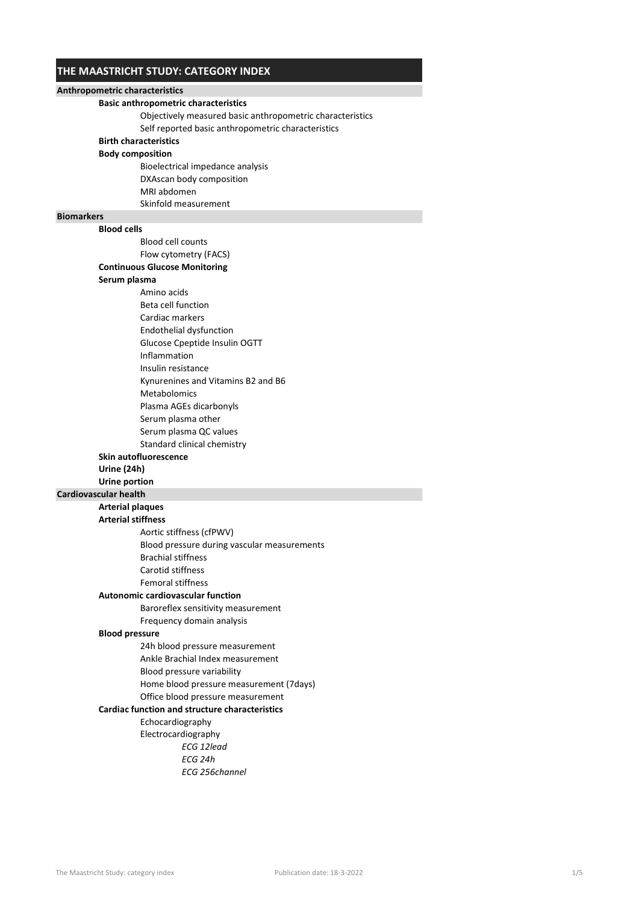## THE MAASTRICHT STUDY: CATEGORY INDEX

| Anthropometric characteristics |                                                           |  |
|--------------------------------|-----------------------------------------------------------|--|
|                                | <b>Basic anthropometric characteristics</b>               |  |
|                                | Objectively measured basic anthropometric characteristics |  |
|                                | Self reported basic anthropometric characteristics        |  |
|                                | <b>Birth characteristics</b>                              |  |
|                                | <b>Body composition</b>                                   |  |
|                                | Bioelectrical impedance analysis                          |  |
|                                | DXAscan body composition                                  |  |
|                                | MRI abdomen                                               |  |
|                                | Skinfold measurement                                      |  |
| <b>Biomarkers</b>              |                                                           |  |
|                                | <b>Blood cells</b>                                        |  |
|                                | <b>Blood cell counts</b>                                  |  |
|                                | Flow cytometry (FACS)                                     |  |
|                                | <b>Continuous Glucose Monitoring</b>                      |  |
|                                | Serum plasma                                              |  |
|                                | Amino acids                                               |  |
|                                | Beta cell function                                        |  |
|                                | Cardiac markers                                           |  |
|                                | Endothelial dysfunction                                   |  |
|                                | Glucose Cpeptide Insulin OGTT                             |  |
|                                | Inflammation                                              |  |
|                                | Insulin resistance                                        |  |
|                                | Kynurenines and Vitamins B2 and B6                        |  |
|                                | <b>Metabolomics</b>                                       |  |
|                                | Plasma AGEs dicarbonyls                                   |  |
|                                | Serum plasma other                                        |  |
|                                | Serum plasma QC values                                    |  |
|                                | Standard clinical chemistry                               |  |
|                                | <b>Skin autofluorescence</b>                              |  |
|                                | Urine (24h)                                               |  |
|                                | Urine portion                                             |  |
|                                | <b>Cardiovascular health</b>                              |  |
|                                | <b>Arterial plaques</b>                                   |  |
|                                | <b>Arterial stiffness</b>                                 |  |
|                                | Aortic stiffness (cfPWV)                                  |  |
|                                | Blood pressure during vascular measurements               |  |
|                                | <b>Brachial stiffness</b>                                 |  |
|                                | Carotid stiffness                                         |  |
|                                | <b>Femoral stiffness</b>                                  |  |
|                                | <b>Autonomic cardiovascular function</b>                  |  |
|                                | Baroreflex sensitivity measurement                        |  |
|                                | Frequency domain analysis                                 |  |
|                                | <b>Blood pressure</b>                                     |  |
|                                | 24h blood pressure measurement                            |  |
|                                | Ankle Brachial Index measurement                          |  |
|                                | Blood pressure variability                                |  |
|                                | Home blood pressure measurement (7days)                   |  |
|                                | Office blood pressure measurement                         |  |
|                                | <b>Cardiac function and structure characteristics</b>     |  |
|                                | Echocardiography                                          |  |
|                                | Electrocardiography                                       |  |
|                                | ECG 12lead                                                |  |
|                                | ECG 24h                                                   |  |
|                                | ECG 256channel                                            |  |
|                                |                                                           |  |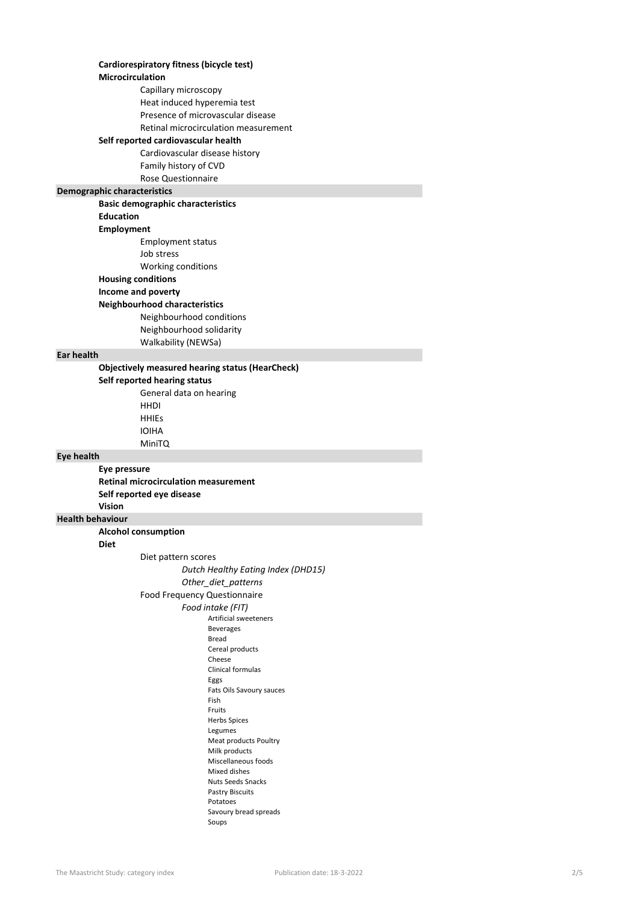|                         | Cardiorespiratory fitness (bicycle test)               |
|-------------------------|--------------------------------------------------------|
|                         | Microcirculation                                       |
|                         | Capillary microscopy                                   |
|                         | Heat induced hyperemia test                            |
|                         | Presence of microvascular disease                      |
|                         | Retinal microcirculation measurement                   |
|                         | Self reported cardiovascular health                    |
|                         | Cardiovascular disease history                         |
|                         | Family history of CVD                                  |
|                         | <b>Rose Questionnaire</b>                              |
|                         | Demographic characteristics                            |
|                         | <b>Basic demographic characteristics</b>               |
|                         | <b>Education</b>                                       |
|                         | Employment                                             |
|                         | <b>Employment status</b><br>Job stress                 |
|                         |                                                        |
|                         | Working conditions<br><b>Housing conditions</b>        |
|                         | Income and poverty                                     |
|                         | <b>Neighbourhood characteristics</b>                   |
|                         | Neighbourhood conditions                               |
|                         | Neighbourhood solidarity                               |
|                         | Walkability (NEWSa)                                    |
| Ear health              |                                                        |
|                         | <b>Objectively measured hearing status (HearCheck)</b> |
|                         | Self reported hearing status                           |
|                         | General data on hearing                                |
|                         | <b>HHDI</b>                                            |
|                         | <b>HHIES</b>                                           |
|                         | <b>IOIHA</b>                                           |
|                         | <b>MiniTQ</b>                                          |
|                         |                                                        |
| Eye health              |                                                        |
|                         | Eye pressure                                           |
|                         | <b>Retinal microcirculation measurement</b>            |
|                         | Self reported eye disease                              |
| <b>Vision</b>           |                                                        |
| <b>Health behaviour</b> |                                                        |
|                         | <b>Alcohol consumption</b>                             |
| Diet                    |                                                        |
|                         | Diet pattern scores                                    |
|                         | Dutch Healthy Eating Index (DHD15)                     |
|                         | Other_diet_patterns                                    |
|                         | Food Frequency Questionnaire                           |
|                         | Food intake (FIT)                                      |
|                         | Artificial sweeteners<br><b>Beverages</b>              |
|                         | Bread                                                  |
|                         | Cereal products                                        |
|                         | Cheese<br>Clinical formulas                            |
|                         | Eggs                                                   |
|                         | Fats Oils Savoury sauces                               |
|                         | Fish                                                   |
|                         | Fruits<br><b>Herbs Spices</b>                          |
|                         | Legumes                                                |
|                         | Meat products Poultry                                  |
|                         | Milk products                                          |
|                         | Miscellaneous foods<br>Mixed dishes                    |
|                         | Nuts Seeds Snacks                                      |
|                         | Pastry Biscuits                                        |
|                         | Potatoes                                               |
|                         | Savoury bread spreads<br>Soups                         |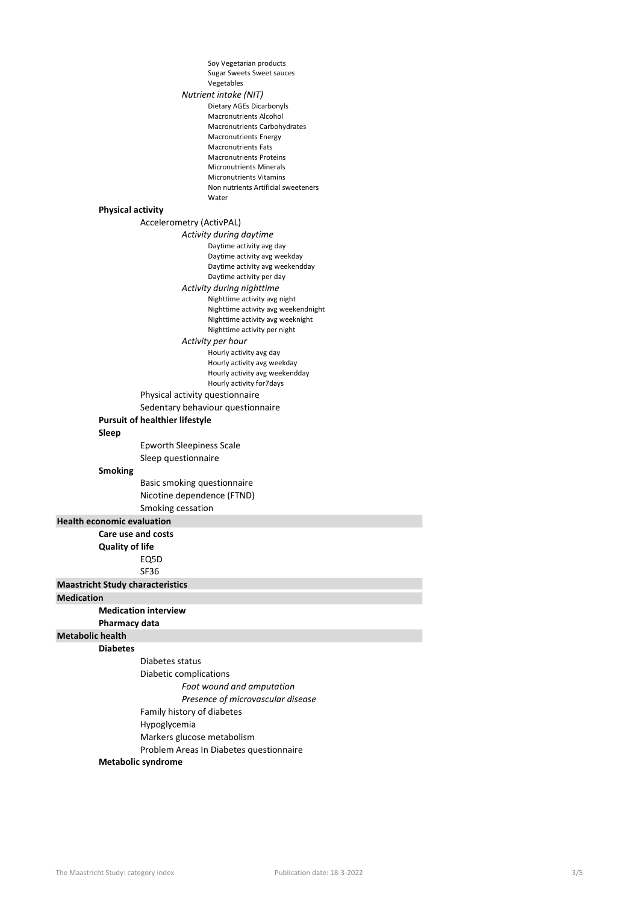|                                   |                          | Soy Vegetarian products                                                 |
|-----------------------------------|--------------------------|-------------------------------------------------------------------------|
|                                   |                          | <b>Sugar Sweets Sweet sauces</b>                                        |
|                                   |                          | Vegetables                                                              |
|                                   |                          | Nutrient intake (NIT)                                                   |
|                                   |                          | Dietary AGEs Dicarbonyls<br><b>Macronutrients Alcohol</b>               |
|                                   |                          | Macronutrients Carbohydrates                                            |
|                                   |                          | <b>Macronutrients Energy</b>                                            |
|                                   |                          | <b>Macronutrients Fats</b>                                              |
|                                   |                          | <b>Macronutrients Proteins</b>                                          |
|                                   |                          | <b>Micronutrients Minerals</b>                                          |
|                                   |                          | <b>Micronutrients Vitamins</b><br>Non nutrients Artificial sweeteners   |
|                                   |                          | Water                                                                   |
|                                   | <b>Physical activity</b> |                                                                         |
|                                   |                          | Accelerometry (ActivPAL)                                                |
|                                   |                          | Activity during daytime                                                 |
|                                   |                          | Daytime activity avg day                                                |
|                                   |                          | Daytime activity avg weekday                                            |
|                                   |                          | Daytime activity avg weekendday                                         |
|                                   |                          | Daytime activity per day                                                |
|                                   |                          | Activity during nighttime                                               |
|                                   |                          | Nighttime activity avg night                                            |
|                                   |                          | Nighttime activity avg weekendnight<br>Nighttime activity avg weeknight |
|                                   |                          | Nighttime activity per night                                            |
|                                   |                          | Activity per hour                                                       |
|                                   |                          | Hourly activity avg day                                                 |
|                                   |                          | Hourly activity avg weekday                                             |
|                                   |                          | Hourly activity avg weekendday                                          |
|                                   |                          | Hourly activity for 7 days                                              |
|                                   |                          | Physical activity questionnaire                                         |
|                                   |                          | Sedentary behaviour questionnaire                                       |
|                                   |                          | <b>Pursuit of healthier lifestyle</b>                                   |
|                                   | Sleep                    |                                                                         |
|                                   |                          | <b>Epworth Sleepiness Scale</b>                                         |
|                                   |                          | Sleep questionnaire                                                     |
|                                   | <b>Smoking</b>           |                                                                         |
|                                   |                          | Basic smoking questionnaire                                             |
|                                   |                          | Nicotine dependence (FTND)                                              |
|                                   |                          | Smoking cessation                                                       |
| <b>Health economic evaluation</b> |                          |                                                                         |
|                                   | Care use and costs       |                                                                         |
|                                   | <b>Quality of life</b>   |                                                                         |
|                                   |                          | EQ5D                                                                    |
|                                   |                          | <b>SF36</b>                                                             |
|                                   |                          | <b>Maastricht Study characteristics</b>                                 |
| <b>Medication</b>                 |                          |                                                                         |
|                                   |                          | <b>Medication interview</b>                                             |
|                                   | Pharmacy data            |                                                                         |
| <b>Metabolic health</b>           |                          |                                                                         |
|                                   | <b>Diabetes</b>          |                                                                         |
|                                   |                          | Diabetes status                                                         |
|                                   |                          | Diabetic complications                                                  |
|                                   |                          | Foot wound and amputation                                               |
|                                   |                          | Presence of microvascular disease                                       |
|                                   |                          | Family history of diabetes                                              |
|                                   |                          | Hypoglycemia                                                            |
|                                   |                          |                                                                         |
|                                   |                          | Markers glucose metabolism                                              |
|                                   |                          | Problem Areas In Diabetes questionnaire                                 |

## Metabolic syndrome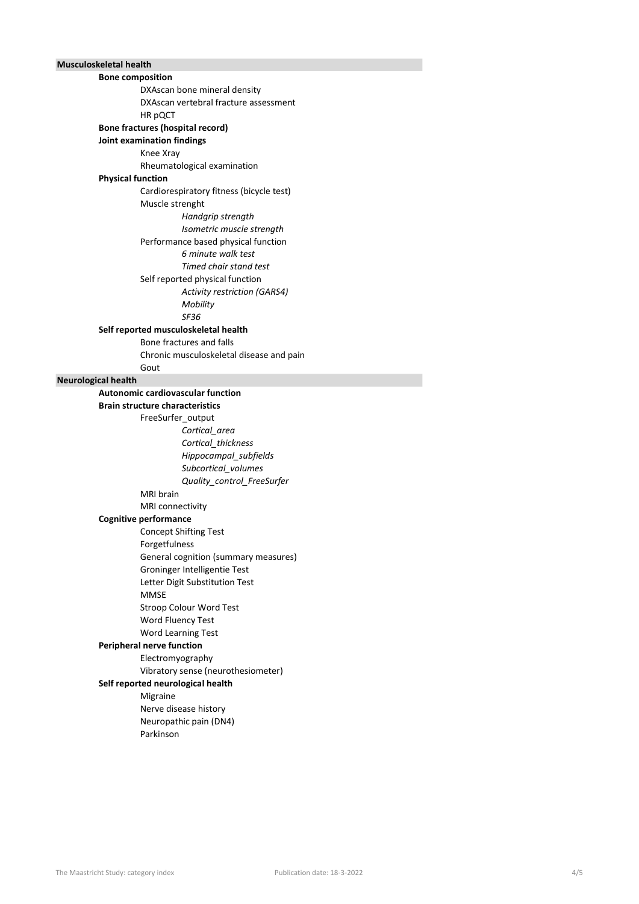## Musculoskeletal health

| <b>Bone composition</b>    |                                          |
|----------------------------|------------------------------------------|
|                            | DXAscan bone mineral density             |
|                            | DXAscan vertebral fracture assessment    |
|                            | HR pQCT                                  |
|                            | <b>Bone fractures (hospital record)</b>  |
|                            | Joint examination findings               |
|                            | Knee Xray                                |
|                            | Rheumatological examination              |
| <b>Physical function</b>   |                                          |
|                            | Cardiorespiratory fitness (bicycle test) |
|                            | Muscle strenght                          |
|                            | Handgrip strength                        |
|                            | Isometric muscle strength                |
|                            | Performance based physical function      |
|                            | 6 minute walk test                       |
|                            | Timed chair stand test                   |
|                            | Self reported physical function          |
|                            | <b>Activity restriction (GARS4)</b>      |
|                            | Mobility                                 |
|                            | SF36                                     |
|                            | Self reported musculoskeletal health     |
|                            | Bone fractures and falls                 |
|                            | Chronic musculoskeletal disease and pain |
|                            | Gout                                     |
| <b>Neurological health</b> |                                          |
|                            | <b>Autonomic cardiovascular function</b> |
|                            | <b>Brain structure characteristics</b>   |
|                            | FreeSurfer_output                        |
|                            | Cortical area                            |
|                            | Cortical_thickness                       |
|                            | Hippocampal_subfields                    |
|                            | Subcortical_volumes                      |
|                            | Quality_control_FreeSurfer               |
|                            | <b>MRI</b> brain                         |
|                            | MRI connectivity                         |
|                            | <b>Cognitive performance</b>             |
|                            | <b>Concept Shifting Test</b>             |
|                            | Forgetfulness                            |
|                            | General cognition (summary measures)     |
|                            | Groninger Intelligentie Test             |
|                            | Letter Digit Substitution Test           |
|                            | <b>MMSE</b>                              |
|                            | Stroop Colour Word Test                  |
|                            | Word Fluency Test                        |
|                            | Word Learning Test                       |
|                            | <b>Peripheral nerve function</b>         |
|                            | Electromyography                         |
|                            | Vibratory sense (neurothesiometer)       |
|                            | Self reported neurological health        |
|                            | Migraine                                 |
|                            | Nerve disease history                    |
|                            | Neuropathic pain (DN4)                   |
|                            | Parkinson                                |